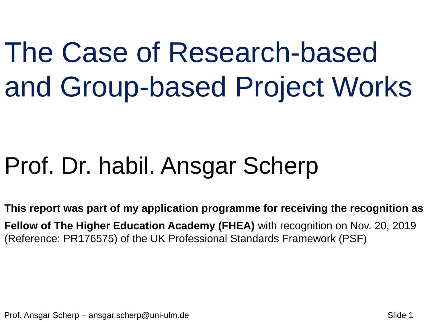The Case of Research-based and Group-based Project Works

#### Prof. Dr. habil. Ansgar Scherp

**This report was part of my application programme for receiving the recognition as Fellow of The Higher Education Academy (FHEA)** with recognition on Nov. 20, 2019 (Reference: PR176575) of the UK Professional Standards Framework (PSF)

Prof. Ansgar Scherp – ansgar.scherp@uni-ulm.de Slide 1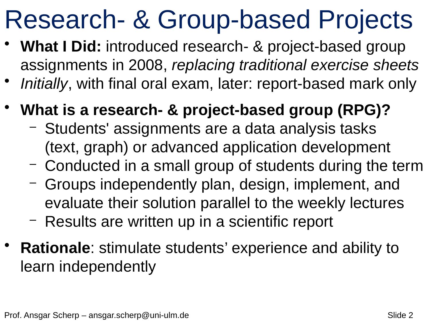# Research- & Group-based Projects

- **What I Did:** introduced research- & project-based group assignments in 2008, *replacing traditional exercise sheets*
- *Initially*, with final oral exam, later: report-based mark only
- **What is a research- & project-based group (RPG)?**
	- Students' assignments are a data analysis tasks (text, graph) or advanced application development
	- Conducted in a small group of students during the term
	- Groups independently plan, design, implement, and evaluate their solution parallel to the weekly lectures
	- Results are written up in a scientific report
- **Rationale**: stimulate students' experience and ability to learn independently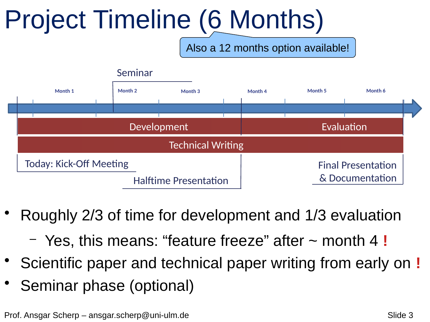# Project Timeline (6 Months)

Also a 12 months option available!



- Roughly 2/3 of time for development and 1/3 evaluation
	- Yes, this means: "feature freeze" after ~ month 4 **!**
- Scientific paper and technical paper writing from early on **!**
- Seminar phase (optional)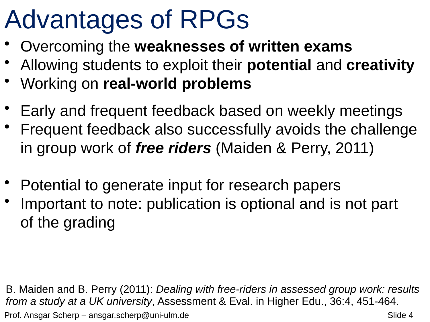# Advantages of RPGs

- Overcoming the **weaknesses of written exams**
- Allowing students to exploit their **potential** and **creativity**
- Working on **real-world problems**
- Early and frequent feedback based on weekly meetings
- Frequent feedback also successfully avoids the challenge in group work of *free riders* (Maiden & Perry, 2011)
- Potential to generate input for research papers
- Important to note: publication is optional and is not part of the grading

Prof. Ansgar Scherp – ansgar.scherp@uni-ulm.de Slide 4 B. Maiden and B. Perry (2011): *Dealing with free-riders in assessed group work: results from a study at a UK university*, Assessment & Eval. in Higher Edu., 36:4, 451-464.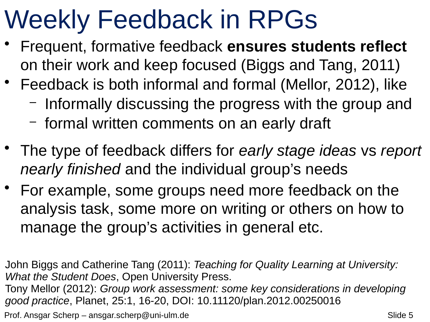# Weekly Feedback in RPGs

- Frequent, formative feedback **ensures students reflect**  on their work and keep focused (Biggs and Tang, 2011)
- Feedback is both informal and formal (Mellor, 2012), like
	- Informally discussing the progress with the group and
	- formal written comments on an early draft
- The type of feedback differs for *early stage ideas* vs *report nearly finished* and the individual group's needs
- For example, some groups need more feedback on the analysis task, some more on writing or others on how to manage the group's activities in general etc.

John Biggs and Catherine Tang (2011): *Teaching for Quality Learning at University: What the Student Does*, Open University Press.

Tony Mellor (2012): *Group work assessment: some key considerations in developing good practice*, Planet, 25:1, 16-20, DOI: 10.11120/plan.2012.00250016

Prof. Ansgar Scherp – ansgar.scherp@uni-ulm.de Slide 5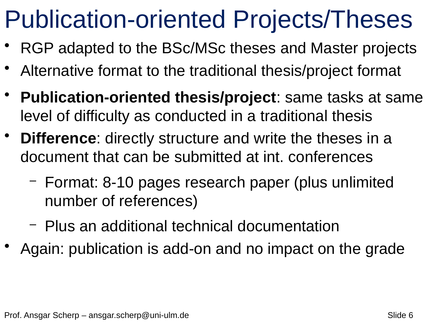### Publication-oriented Projects/Theses

- RGP adapted to the BSc/MSc theses and Master projects
- Alternative format to the traditional thesis/project format
- **Publication-oriented thesis/project**: same tasks at same level of difficulty as conducted in a traditional thesis
- **Difference:** directly structure and write the theses in a document that can be submitted at int. conferences
	- Format: 8-10 pages research paper (plus unlimited number of references)
	- Plus an additional technical documentation
- Again: publication is add-on and no impact on the grade